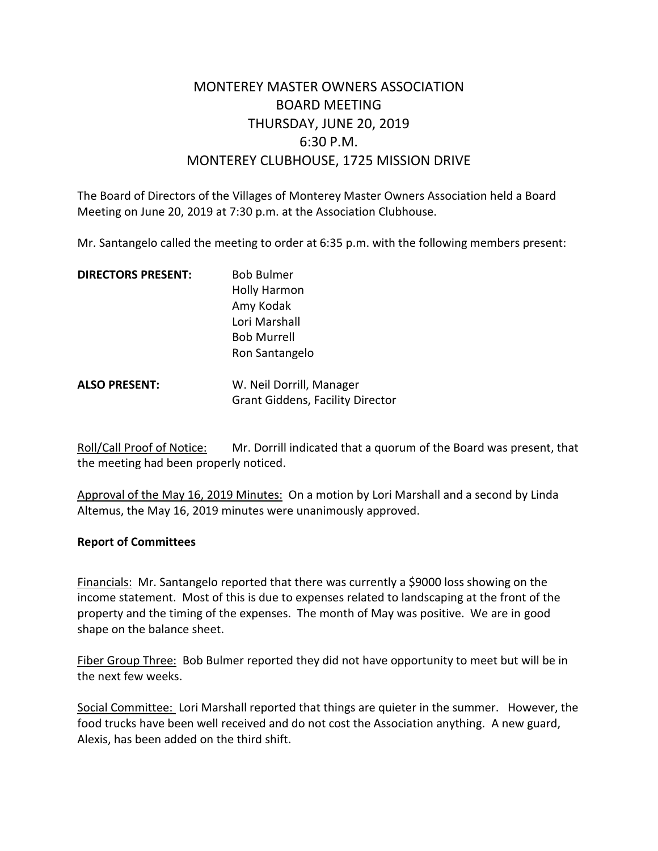# MONTEREY MASTER OWNERS ASSOCIATION BOARD MEETING THURSDAY, JUNE 20, 2019 6:30 P.M. MONTEREY CLUBHOUSE, 1725 MISSION DRIVE

The Board of Directors of the Villages of Monterey Master Owners Association held a Board Meeting on June 20, 2019 at 7:30 p.m. at the Association Clubhouse.

Mr. Santangelo called the meeting to order at 6:35 p.m. with the following members present:

| <b>DIRECTORS PRESENT:</b> | <b>Bob Bulmer</b>                       |
|---------------------------|-----------------------------------------|
|                           | <b>Holly Harmon</b>                     |
|                           | Amy Kodak                               |
|                           | Lori Marshall                           |
|                           | <b>Bob Murrell</b>                      |
|                           | Ron Santangelo                          |
| <b>ALSO PRESENT:</b>      | W. Neil Dorrill, Manager                |
|                           | <b>Grant Giddens, Facility Director</b> |

Roll/Call Proof of Notice: Mr. Dorrill indicated that a quorum of the Board was present, that the meeting had been properly noticed.

Approval of the May 16, 2019 Minutes: On a motion by Lori Marshall and a second by Linda Altemus, the May 16, 2019 minutes were unanimously approved.

#### **Report of Committees**

Financials: Mr. Santangelo reported that there was currently a \$9000 loss showing on the income statement. Most of this is due to expenses related to landscaping at the front of the property and the timing of the expenses. The month of May was positive. We are in good shape on the balance sheet.

Fiber Group Three: Bob Bulmer reported they did not have opportunity to meet but will be in the next few weeks.

Social Committee: Lori Marshall reported that things are quieter in the summer. However, the food trucks have been well received and do not cost the Association anything. A new guard, Alexis, has been added on the third shift.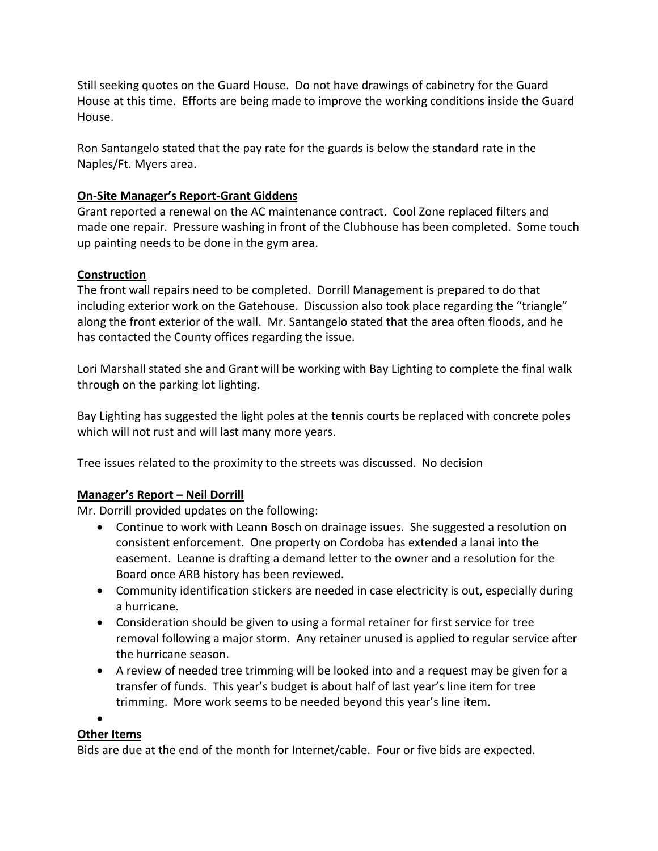Still seeking quotes on the Guard House. Do not have drawings of cabinetry for the Guard House at this time. Efforts are being made to improve the working conditions inside the Guard House.

Ron Santangelo stated that the pay rate for the guards is below the standard rate in the Naples/Ft. Myers area.

## **On-Site Manager's Report-Grant Giddens**

Grant reported a renewal on the AC maintenance contract. Cool Zone replaced filters and made one repair. Pressure washing in front of the Clubhouse has been completed. Some touch up painting needs to be done in the gym area.

### **Construction**

The front wall repairs need to be completed. Dorrill Management is prepared to do that including exterior work on the Gatehouse. Discussion also took place regarding the "triangle" along the front exterior of the wall. Mr. Santangelo stated that the area often floods, and he has contacted the County offices regarding the issue.

Lori Marshall stated she and Grant will be working with Bay Lighting to complete the final walk through on the parking lot lighting.

Bay Lighting has suggested the light poles at the tennis courts be replaced with concrete poles which will not rust and will last many more years.

Tree issues related to the proximity to the streets was discussed. No decision

### **Manager's Report – Neil Dorrill**

Mr. Dorrill provided updates on the following:

- Continue to work with Leann Bosch on drainage issues. She suggested a resolution on consistent enforcement. One property on Cordoba has extended a lanai into the easement. Leanne is drafting a demand letter to the owner and a resolution for the Board once ARB history has been reviewed.
- Community identification stickers are needed in case electricity is out, especially during a hurricane.
- Consideration should be given to using a formal retainer for first service for tree removal following a major storm. Any retainer unused is applied to regular service after the hurricane season.
- A review of needed tree trimming will be looked into and a request may be given for a transfer of funds. This year's budget is about half of last year's line item for tree trimming. More work seems to be needed beyond this year's line item.

#### •

### **Other Items**

Bids are due at the end of the month for Internet/cable. Four or five bids are expected.